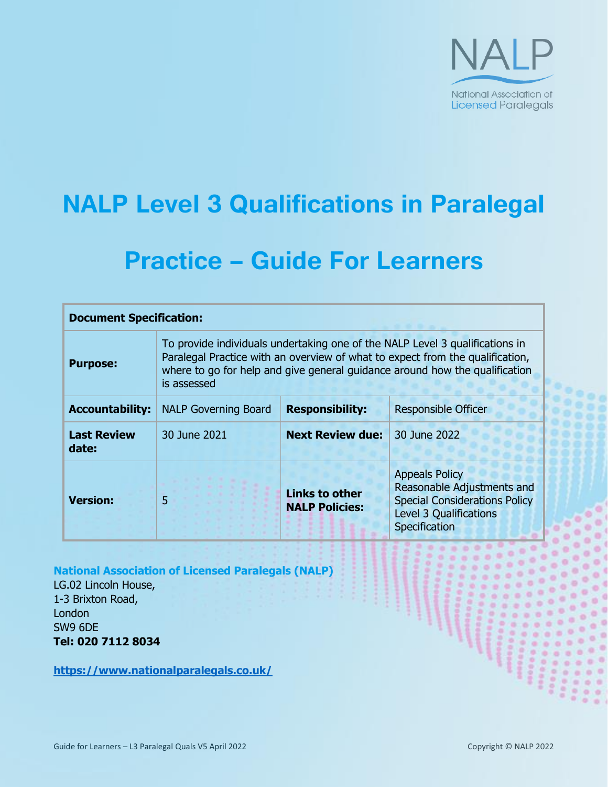

# **NALP Level 3 Qualifications in Paralegal**

## **Practice – Guide For Learners**

| <b>Document Specification:</b> |                                                                                                                                                                                                                                                             |                                                |                                                                                                                                               |
|--------------------------------|-------------------------------------------------------------------------------------------------------------------------------------------------------------------------------------------------------------------------------------------------------------|------------------------------------------------|-----------------------------------------------------------------------------------------------------------------------------------------------|
| <b>Purpose:</b>                | To provide individuals undertaking one of the NALP Level 3 qualifications in<br>Paralegal Practice with an overview of what to expect from the qualification,<br>where to go for help and give general guidance around how the qualification<br>is assessed |                                                |                                                                                                                                               |
| <b>Accountability:</b>         | <b>NALP Governing Board</b>                                                                                                                                                                                                                                 | <b>Responsibility:</b>                         | <b>Responsible Officer</b>                                                                                                                    |
| <b>Last Review</b><br>date:    | 30 June 2021                                                                                                                                                                                                                                                | <b>Next Review due:</b>                        | 30 June 2022                                                                                                                                  |
| <b>Version:</b>                | 5                                                                                                                                                                                                                                                           | <b>Links to other</b><br><b>NALP Policies:</b> | <b>Appeals Policy</b><br>Reasonable Adjustments and<br><b>Special Considerations Policy</b><br><b>Level 3 Qualifications</b><br>Specification |

**National Association of Licensed Paralegals (NALP)**

LG.02 Lincoln House, 1-3 Brixton Road, London SW9 6DE **Tel: 020 7112 8034**

**<https://www.nationalparalegals.co.uk/>**

×

۰ š 19006 19900 o ٠ aos ×  $\equiv$  $200$ 

 $0.0$ 

٠

 $\overline{a}$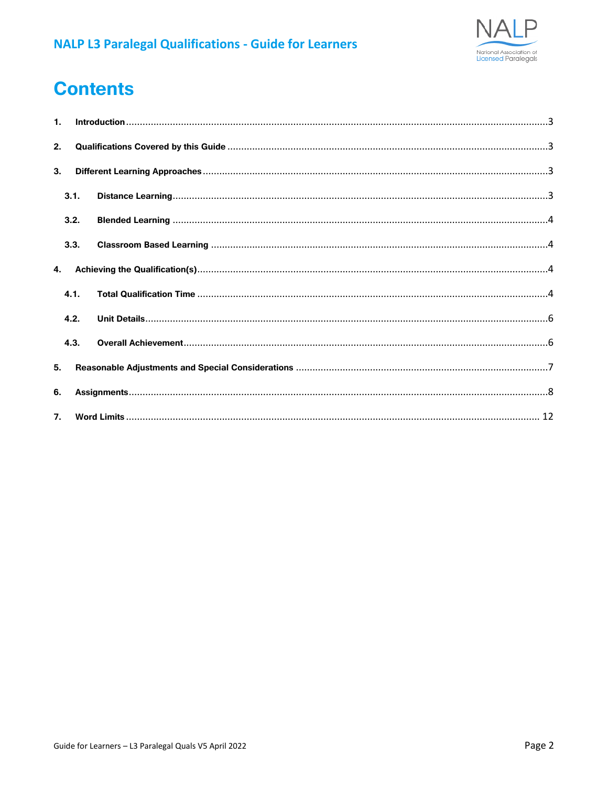

## **Contents**

| $\mathbf{1}$ . |      |  |  |
|----------------|------|--|--|
| 2.             |      |  |  |
| 3.             |      |  |  |
|                | 3.1. |  |  |
|                | 3.2. |  |  |
|                | 3.3. |  |  |
| 4.             |      |  |  |
|                | 4.1. |  |  |
|                | 4.2. |  |  |
|                | 4.3. |  |  |
| 5.             |      |  |  |
| 6.             |      |  |  |
| 7.             |      |  |  |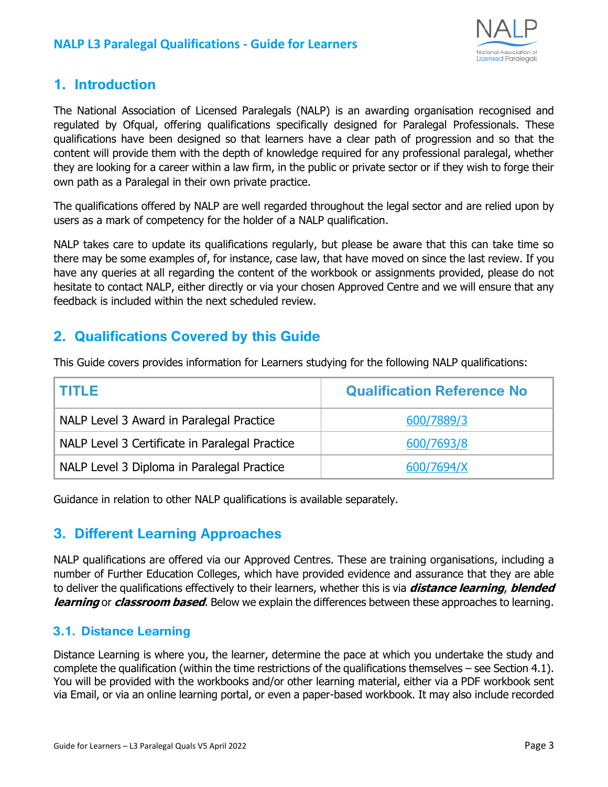

## <span id="page-2-0"></span>**1. Introduction**

The National Association of Licensed Paralegals (NALP) is an awarding organisation recognised and regulated by Ofqual, offering qualifications specifically designed for Paralegal Professionals. These qualifications have been designed so that learners have a clear path of progression and so that the content will provide them with the depth of knowledge required for any professional paralegal, whether they are looking for a career within a law firm, in the public or private sector or if they wish to forge their own path as a Paralegal in their own private practice.

The qualifications offered by NALP are well regarded throughout the legal sector and are relied upon by users as a mark of competency for the holder of a NALP qualification.

NALP takes care to update its qualifications regularly, but please be aware that this can take time so there may be some examples of, for instance, case law, that have moved on since the last review. If you have any queries at all regarding the content of the workbook or assignments provided, please do not hesitate to contact NALP, either directly or via your chosen Approved Centre and we will ensure that any feedback is included within the next scheduled review.

## <span id="page-2-1"></span>**2. Qualifications Covered by this Guide**

This Guide covers provides information for Learners studying for the following NALP qualifications:

| I TITLE                                        | <b>Qualification Reference No</b> |
|------------------------------------------------|-----------------------------------|
| NALP Level 3 Award in Paralegal Practice       | 600/7889/3                        |
| NALP Level 3 Certificate in Paralegal Practice | 600/7693/8                        |
| NALP Level 3 Diploma in Paralegal Practice     | 600/7694/X                        |

Guidance in relation to other NALP qualifications is available separately.

## <span id="page-2-2"></span>**3. Different Learning Approaches**

NALP qualifications are offered via our Approved Centres. These are training organisations, including a number of Further Education Colleges, which have provided evidence and assurance that they are able to deliver the qualifications effectively to their learners, whether this is via **distance learning**, **blended learning** or **classroom based**. Below we explain the differences between these approaches to learning.

#### <span id="page-2-3"></span>**3.1. Distance Learning**

Distance Learning is where you, the learner, determine the pace at which you undertake the study and complete the qualification (within the time restrictions of the qualifications themselves – see Section 4.1). You will be provided with the workbooks and/or other learning material, either via a PDF workbook sent via Email, or via an online learning portal, or even a paper-based workbook. It may also include recorded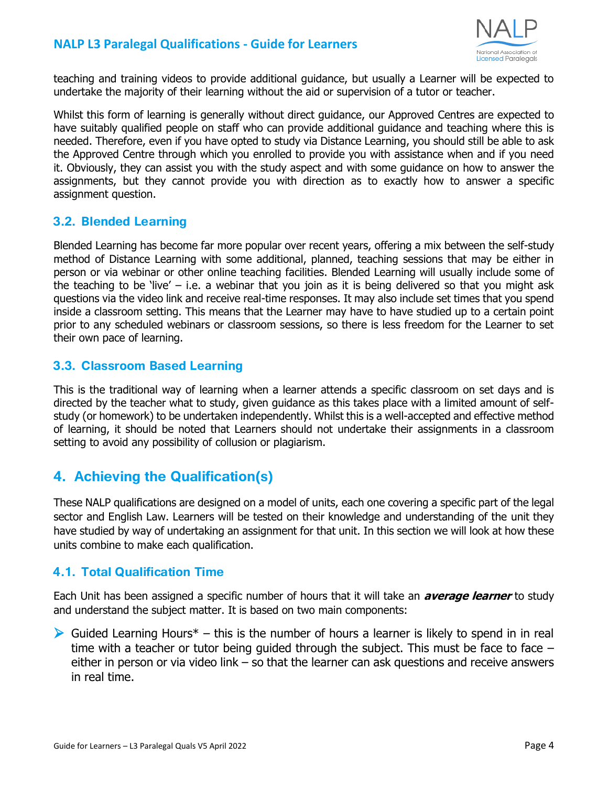

teaching and training videos to provide additional guidance, but usually a Learner will be expected to undertake the majority of their learning without the aid or supervision of a tutor or teacher.

Whilst this form of learning is generally without direct guidance, our Approved Centres are expected to have suitably qualified people on staff who can provide additional guidance and teaching where this is needed. Therefore, even if you have opted to study via Distance Learning, you should still be able to ask the Approved Centre through which you enrolled to provide you with assistance when and if you need it. Obviously, they can assist you with the study aspect and with some guidance on how to answer the assignments, but they cannot provide you with direction as to exactly how to answer a specific assignment question.

#### <span id="page-3-0"></span>**3.2. Blended Learning**

Blended Learning has become far more popular over recent years, offering a mix between the self-study method of Distance Learning with some additional, planned, teaching sessions that may be either in person or via webinar or other online teaching facilities. Blended Learning will usually include some of the teaching to be 'live'  $-$  i.e. a webinar that you join as it is being delivered so that you might ask questions via the video link and receive real-time responses. It may also include set times that you spend inside a classroom setting. This means that the Learner may have to have studied up to a certain point prior to any scheduled webinars or classroom sessions, so there is less freedom for the Learner to set their own pace of learning.

#### <span id="page-3-1"></span>**3.3. Classroom Based Learning**

This is the traditional way of learning when a learner attends a specific classroom on set days and is directed by the teacher what to study, given guidance as this takes place with a limited amount of selfstudy (or homework) to be undertaken independently. Whilst this is a well-accepted and effective method of learning, it should be noted that Learners should not undertake their assignments in a classroom setting to avoid any possibility of collusion or plagiarism.

## <span id="page-3-2"></span>**4. Achieving the Qualification(s)**

These NALP qualifications are designed on a model of units, each one covering a specific part of the legal sector and English Law. Learners will be tested on their knowledge and understanding of the unit they have studied by way of undertaking an assignment for that unit. In this section we will look at how these units combine to make each qualification.

#### <span id="page-3-3"></span>**4.1. Total Qualification Time**

Each Unit has been assigned a specific number of hours that it will take an **average learner** to study and understand the subject matter. It is based on two main components:

 $\triangleright$  Guided Learning Hours<sup>\*</sup> – this is the number of hours a learner is likely to spend in in real time with a teacher or tutor being guided through the subject. This must be face to face – either in person or via video link – so that the learner can ask questions and receive answers in real time.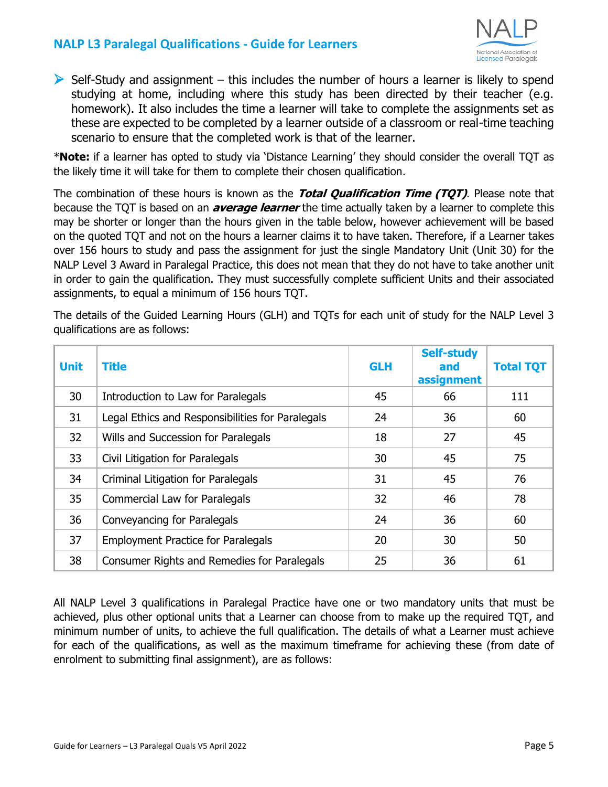

 $\triangleright$  Self-Study and assignment – this includes the number of hours a learner is likely to spend studying at home, including where this study has been directed by their teacher (e.g. homework). It also includes the time a learner will take to complete the assignments set as these are expected to be completed by a learner outside of a classroom or real-time teaching scenario to ensure that the completed work is that of the learner.

\***Note:** if a learner has opted to study via 'Distance Learning' they should consider the overall TQT as the likely time it will take for them to complete their chosen qualification.

The combination of these hours is known as the **Total Qualification Time (TQT)**. Please note that because the TQT is based on an **average learner** the time actually taken by a learner to complete this may be shorter or longer than the hours given in the table below, however achievement will be based on the quoted TQT and not on the hours a learner claims it to have taken. Therefore, if a Learner takes over 156 hours to study and pass the assignment for just the single Mandatory Unit (Unit 30) for the NALP Level 3 Award in Paralegal Practice, this does not mean that they do not have to take another unit in order to gain the qualification. They must successfully complete sufficient Units and their associated assignments, to equal a minimum of 156 hours TQT.

The details of the Guided Learning Hours (GLH) and TQTs for each unit of study for the NALP Level 3 qualifications are as follows:

| <b>Unit</b> | <b>Title</b>                                     | <b>GLH</b> | <b>Self-study</b><br>and<br>assignment | <b>Total TQT</b> |
|-------------|--------------------------------------------------|------------|----------------------------------------|------------------|
| 30          | Introduction to Law for Paralegals               | 45         | 66                                     | 111              |
| 31          | Legal Ethics and Responsibilities for Paralegals | 24         | 36                                     | 60               |
| 32          | Wills and Succession for Paralegals              | 18         | 27                                     | 45               |
| 33          | Civil Litigation for Paralegals                  | 30         | 45                                     | 75               |
| 34          | Criminal Litigation for Paralegals               | 31         | 45                                     | 76               |
| 35          | Commercial Law for Paralegals                    | 32         | 46                                     | 78               |
| 36          | Conveyancing for Paralegals                      | 24         | 36                                     | 60               |
| 37          | <b>Employment Practice for Paralegals</b>        | 20         | 30                                     | 50               |
| 38          | Consumer Rights and Remedies for Paralegals      | 25         | 36                                     | 61               |

All NALP Level 3 qualifications in Paralegal Practice have one or two mandatory units that must be achieved, plus other optional units that a Learner can choose from to make up the required TQT, and minimum number of units, to achieve the full qualification. The details of what a Learner must achieve for each of the qualifications, as well as the maximum timeframe for achieving these (from date of enrolment to submitting final assignment), are as follows: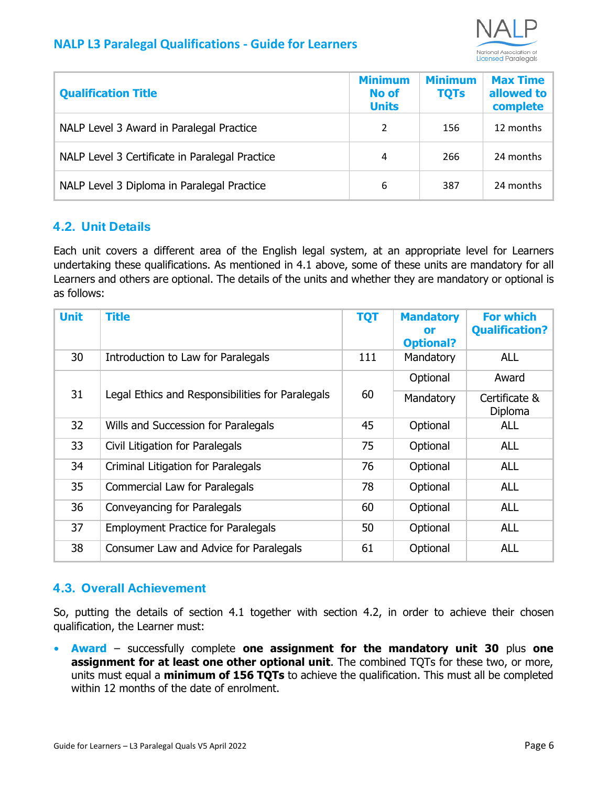

| <b>Qualification Title</b>                     | <b>Minimum</b><br><b>No of</b><br><b>Units</b> | <b>Minimum</b><br><b>TQTs</b> | <b>Max Time</b><br>allowed to<br>complete |
|------------------------------------------------|------------------------------------------------|-------------------------------|-------------------------------------------|
| NALP Level 3 Award in Paralegal Practice       | 2                                              | 156                           | 12 months                                 |
| NALP Level 3 Certificate in Paralegal Practice | 4                                              | 266                           | 24 months                                 |
| NALP Level 3 Diploma in Paralegal Practice     | 6                                              | 387                           | 24 months                                 |

#### <span id="page-5-0"></span>**4.2. Unit Details**

Each unit covers a different area of the English legal system, at an appropriate level for Learners undertaking these qualifications. As mentioned in 4.1 above, some of these units are mandatory for all Learners and others are optional. The details of the units and whether they are mandatory or optional is as follows:

| <b>Unit</b> | Title                                            | <b>TQT</b> | <b>Mandatory</b><br>or<br><b>Optional?</b> | <b>For which</b><br><b>Qualification?</b> |
|-------------|--------------------------------------------------|------------|--------------------------------------------|-------------------------------------------|
| 30          | Introduction to Law for Paralegals               | 111        | Mandatory                                  | <b>ALL</b>                                |
| 31          |                                                  | 60         | Optional                                   | Award                                     |
|             | Legal Ethics and Responsibilities for Paralegals |            | Mandatory                                  | Certificate &<br>Diploma                  |
| 32          | Wills and Succession for Paralegals              | 45         | Optional                                   | <b>ALL</b>                                |
| 33          | Civil Litigation for Paralegals                  | 75         | Optional                                   | <b>ALL</b>                                |
| 34          | Criminal Litigation for Paralegals               | 76         | Optional                                   | <b>ALL</b>                                |
| 35          | Commercial Law for Paralegals                    | 78         | Optional                                   | <b>ALL</b>                                |
| 36          | Conveyancing for Paralegals                      | 60         | Optional                                   | <b>ALL</b>                                |
| 37          | <b>Employment Practice for Paralegals</b>        | 50         | Optional                                   | <b>ALL</b>                                |
| 38          | Consumer Law and Advice for Paralegals           | 61         | Optional                                   | <b>ALL</b>                                |

#### <span id="page-5-1"></span>**4.3. Overall Achievement**

So, putting the details of section 4.1 together with section 4.2, in order to achieve their chosen qualification, the Learner must:

**• Award** – successfully complete **one assignment for the mandatory unit 30** plus **one assignment for at least one other optional unit**. The combined TQTs for these two, or more, units must equal a **minimum of 156 TQTs** to achieve the qualification. This must all be completed within 12 months of the date of enrolment.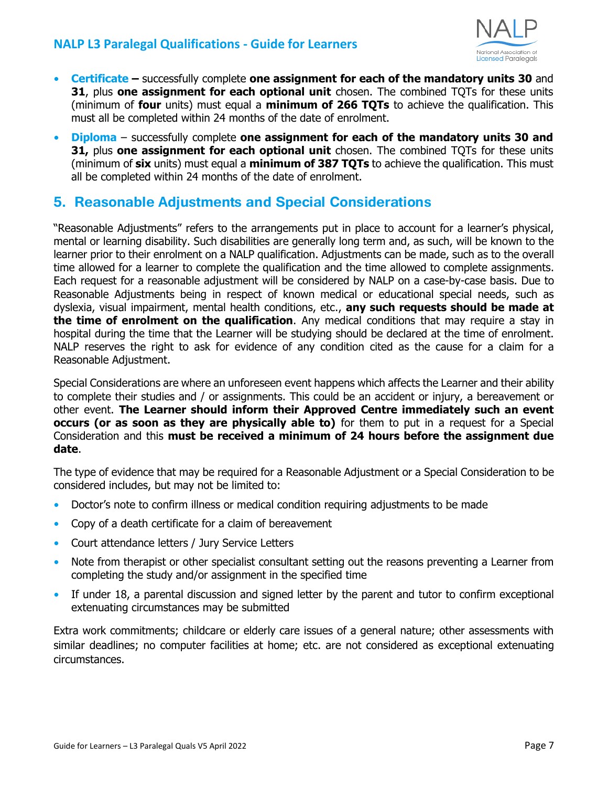

- **• Certificate –** successfully complete **one assignment for each of the mandatory units 30** and **31**, plus **one assignment for each optional unit** chosen. The combined TQTs for these units (minimum of **four** units) must equal a **minimum of 266 TQTs** to achieve the qualification. This must all be completed within 24 months of the date of enrolment.
- **• Diploma**  successfully complete **one assignment for each of the mandatory units 30 and 31,** plus **one assignment for each optional unit** chosen. The combined TQTs for these units (minimum of **six** units) must equal a **minimum of 387 TQTs** to achieve the qualification. This must all be completed within 24 months of the date of enrolment.

## <span id="page-6-0"></span>**5. Reasonable Adjustments and Special Considerations**

"Reasonable Adjustments" refers to the arrangements put in place to account for a learner's physical, mental or learning disability. Such disabilities are generally long term and, as such, will be known to the learner prior to their enrolment on a NALP qualification. Adjustments can be made, such as to the overall time allowed for a learner to complete the qualification and the time allowed to complete assignments. Each request for a reasonable adjustment will be considered by NALP on a case-by-case basis. Due to Reasonable Adjustments being in respect of known medical or educational special needs, such as dyslexia, visual impairment, mental health conditions, etc., **any such requests should be made at the time of enrolment on the qualification**. Any medical conditions that may require a stay in hospital during the time that the Learner will be studying should be declared at the time of enrolment. NALP reserves the right to ask for evidence of any condition cited as the cause for a claim for a Reasonable Adjustment.

Special Considerations are where an unforeseen event happens which affects the Learner and their ability to complete their studies and / or assignments. This could be an accident or injury, a bereavement or other event. **The Learner should inform their Approved Centre immediately such an event occurs (or as soon as they are physically able to)** for them to put in a request for a Special Consideration and this **must be received a minimum of 24 hours before the assignment due date**.

The type of evidence that may be required for a Reasonable Adjustment or a Special Consideration to be considered includes, but may not be limited to:

- Doctor's note to confirm illness or medical condition requiring adjustments to be made
- **•** Copy of a death certificate for a claim of bereavement
- **•** Court attendance letters / Jury Service Letters
- **•** Note from therapist or other specialist consultant setting out the reasons preventing a Learner from completing the study and/or assignment in the specified time
- **•** If under 18, a parental discussion and signed letter by the parent and tutor to confirm exceptional extenuating circumstances may be submitted

Extra work commitments; childcare or elderly care issues of a general nature; other assessments with similar deadlines; no computer facilities at home; etc. are not considered as exceptional extenuating circumstances.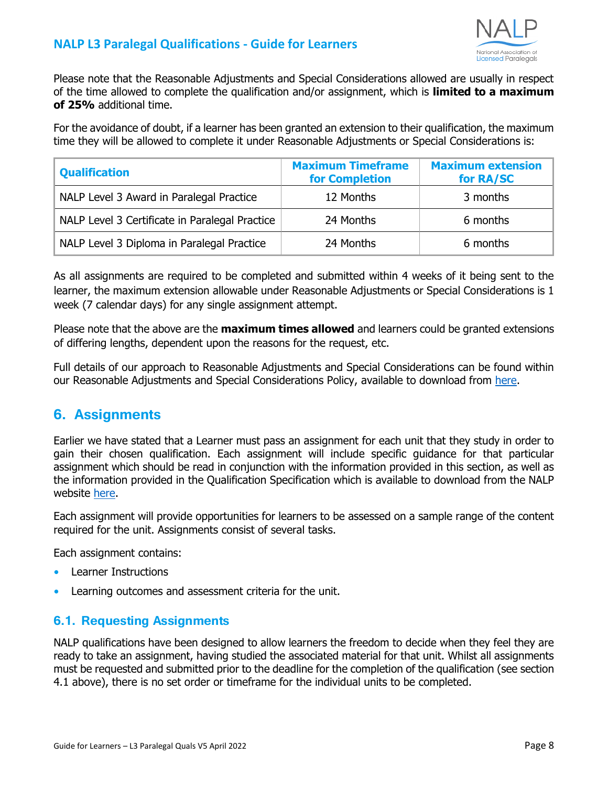

Please note that the Reasonable Adjustments and Special Considerations allowed are usually in respect of the time allowed to complete the qualification and/or assignment, which is **limited to a maximum of 25%** additional time.

For the avoidance of doubt, if a learner has been granted an extension to their qualification, the maximum time they will be allowed to complete it under Reasonable Adjustments or Special Considerations is:

| <b>Qualification</b>                           | <b>Maximum Timeframe</b><br><b>for Completion</b> | <b>Maximum extension</b><br>for RA/SC |
|------------------------------------------------|---------------------------------------------------|---------------------------------------|
| NALP Level 3 Award in Paralegal Practice       | 12 Months                                         | 3 months                              |
| NALP Level 3 Certificate in Paralegal Practice | 24 Months                                         | 6 months                              |
| NALP Level 3 Diploma in Paralegal Practice     | 24 Months                                         | 6 months                              |

As all assignments are required to be completed and submitted within 4 weeks of it being sent to the learner, the maximum extension allowable under Reasonable Adjustments or Special Considerations is 1 week (7 calendar days) for any single assignment attempt.

Please note that the above are the **maximum times allowed** and learners could be granted extensions of differing lengths, dependent upon the reasons for the request, etc.

Full details of our approach to Reasonable Adjustments and Special Considerations can be found within our Reasonable Adjustments and Special Considerations Policy, available to download from [here.](https://www.nationalparalegals.co.uk/reasonable-adjustments-and-special-considerations-policy/)

## <span id="page-7-0"></span>**6. Assignments**

Earlier we have stated that a Learner must pass an assignment for each unit that they study in order to gain their chosen qualification. Each assignment will include specific guidance for that particular assignment which should be read in conjunction with the information provided in this section, as well as the information provided in the Qualification Specification which is available to download from the NALP website [here.](https://www.nationalparalegals.co.uk/level-3-paralegal-practice-qualification-specification-2)

Each assignment will provide opportunities for learners to be assessed on a sample range of the content required for the unit. Assignments consist of several tasks.

Each assignment contains:

- **•** Learner Instructions
- **•** Learning outcomes and assessment criteria for the unit.

#### **6.1. Requesting Assignments**

NALP qualifications have been designed to allow learners the freedom to decide when they feel they are ready to take an assignment, having studied the associated material for that unit. Whilst all assignments must be requested and submitted prior to the deadline for the completion of the qualification (see section 4.1 above), there is no set order or timeframe for the individual units to be completed.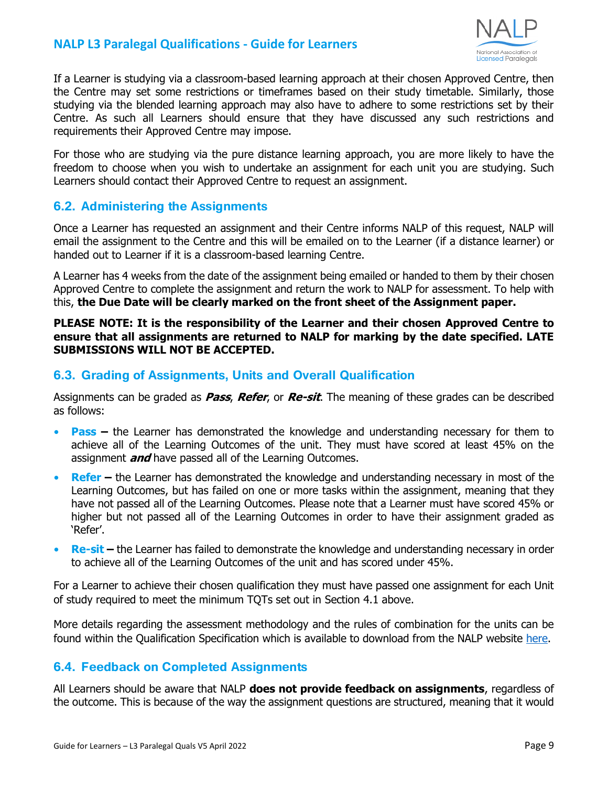

If a Learner is studying via a classroom-based learning approach at their chosen Approved Centre, then the Centre may set some restrictions or timeframes based on their study timetable. Similarly, those studying via the blended learning approach may also have to adhere to some restrictions set by their Centre. As such all Learners should ensure that they have discussed any such restrictions and requirements their Approved Centre may impose.

For those who are studying via the pure distance learning approach, you are more likely to have the freedom to choose when you wish to undertake an assignment for each unit you are studying. Such Learners should contact their Approved Centre to request an assignment.

#### **6.2. Administering the Assignments**

Once a Learner has requested an assignment and their Centre informs NALP of this request, NALP will email the assignment to the Centre and this will be emailed on to the Learner (if a distance learner) or handed out to Learner if it is a classroom-based learning Centre.

A Learner has 4 weeks from the date of the assignment being emailed or handed to them by their chosen Approved Centre to complete the assignment and return the work to NALP for assessment. To help with this, **the Due Date will be clearly marked on the front sheet of the Assignment paper.**

#### **PLEASE NOTE: It is the responsibility of the Learner and their chosen Approved Centre to ensure that all assignments are returned to NALP for marking by the date specified. LATE SUBMISSIONS WILL NOT BE ACCEPTED.**

#### **6.3. Grading of Assignments, Units and Overall Qualification**

Assignments can be graded as **Pass**, **Refer**, or **Re-sit**. The meaning of these grades can be described as follows:

- **Pass** the Learner has demonstrated the knowledge and understanding necessary for them to achieve all of the Learning Outcomes of the unit. They must have scored at least 45% on the assignment **and** have passed all of the Learning Outcomes.
- **• Refer –** the Learner has demonstrated the knowledge and understanding necessary in most of the Learning Outcomes, but has failed on one or more tasks within the assignment, meaning that they have not passed all of the Learning Outcomes. Please note that a Learner must have scored 45% or higher but not passed all of the Learning Outcomes in order to have their assignment graded as 'Refer'.
- **Re-sit** the Learner has failed to demonstrate the knowledge and understanding necessary in order to achieve all of the Learning Outcomes of the unit and has scored under 45%.

For a Learner to achieve their chosen qualification they must have passed one assignment for each Unit of study required to meet the minimum TQTs set out in Section 4.1 above.

More details regarding the assessment methodology and the rules of combination for the units can be found within the Qualification Specification which is available to download from the NALP website [here.](https://www.nationalparalegals.co.uk/level-3-paralegal-practice-qualification-specification)

#### **6.4. Feedback on Completed Assignments**

All Learners should be aware that NALP **does not provide feedback on assignments**, regardless of the outcome. This is because of the way the assignment questions are structured, meaning that it would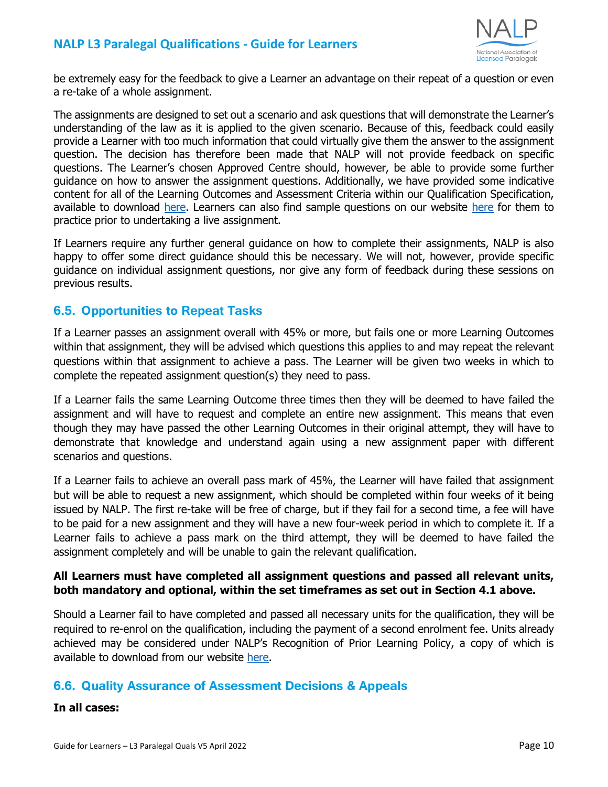

be extremely easy for the feedback to give a Learner an advantage on their repeat of a question or even a re-take of a whole assignment.

The assignments are designed to set out a scenario and ask questions that will demonstrate the Learner's understanding of the law as it is applied to the given scenario. Because of this, feedback could easily provide a Learner with too much information that could virtually give them the answer to the assignment question. The decision has therefore been made that NALP will not provide feedback on specific questions. The Learner's chosen Approved Centre should, however, be able to provide some further guidance on how to answer the assignment questions. Additionally, we have provided some indicative content for all of the Learning Outcomes and Assessment Criteria within our Qualification Specification, available to download [here.](https://www.nationalparalegals.co.uk/level-3-paralegal-practice-qualification-specification) Learners can also find sample questions on our website [here](https://www.nationalparalegals.co.uk/level_3_qualifications) for them to practice prior to undertaking a live assignment.

If Learners require any further general guidance on how to complete their assignments, NALP is also happy to offer some direct guidance should this be necessary. We will not, however, provide specific guidance on individual assignment questions, nor give any form of feedback during these sessions on previous results.

#### **6.5. Opportunities to Repeat Tasks**

If a Learner passes an assignment overall with 45% or more, but fails one or more Learning Outcomes within that assignment, they will be advised which questions this applies to and may repeat the relevant questions within that assignment to achieve a pass. The Learner will be given two weeks in which to complete the repeated assignment question(s) they need to pass.

If a Learner fails the same Learning Outcome three times then they will be deemed to have failed the assignment and will have to request and complete an entire new assignment. This means that even though they may have passed the other Learning Outcomes in their original attempt, they will have to demonstrate that knowledge and understand again using a new assignment paper with different scenarios and questions.

If a Learner fails to achieve an overall pass mark of 45%, the Learner will have failed that assignment but will be able to request a new assignment, which should be completed within four weeks of it being issued by NALP. The first re-take will be free of charge, but if they fail for a second time, a fee will have to be paid for a new assignment and they will have a new four-week period in which to complete it. If a Learner fails to achieve a pass mark on the third attempt, they will be deemed to have failed the assignment completely and will be unable to gain the relevant qualification.

#### **All Learners must have completed all assignment questions and passed all relevant units, both mandatory and optional, within the set timeframes as set out in Section 4.1 above.**

Should a Learner fail to have completed and passed all necessary units for the qualification, they will be required to re-enrol on the qualification, including the payment of a second enrolment fee. Units already achieved may be considered under NALP's Recognition of Prior Learning Policy, a copy of which is available to download from our website [here.](https://www.nationalparalegals.co.uk/nalp_policies_procedures)

#### **6.6. Quality Assurance of Assessment Decisions & Appeals**

#### **In all cases:**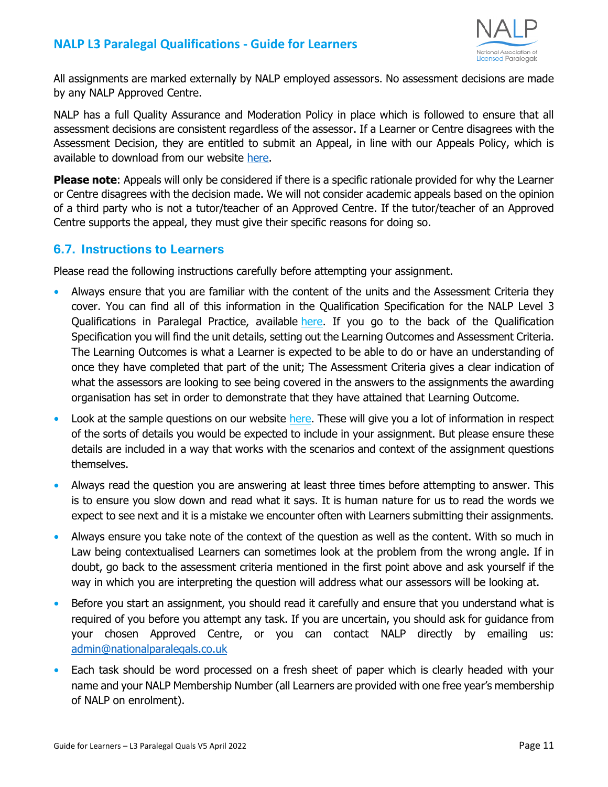

All assignments are marked externally by NALP employed assessors. No assessment decisions are made by any NALP Approved Centre.

NALP has a full Quality Assurance and Moderation Policy in place which is followed to ensure that all assessment decisions are consistent regardless of the assessor. If a Learner or Centre disagrees with the Assessment Decision, they are entitled to submit an Appeal, in line with our Appeals Policy, which is available to download from our website [here.](https://www.nationalparalegals.co.uk/nalp_policies_procedures)

**Please note**: Appeals will only be considered if there is a specific rationale provided for why the Learner or Centre disagrees with the decision made. We will not consider academic appeals based on the opinion of a third party who is not a tutor/teacher of an Approved Centre. If the tutor/teacher of an Approved Centre supports the appeal, they must give their specific reasons for doing so.

#### **6.7. Instructions to Learners**

Please read the following instructions carefully before attempting your assignment.

- **•** Always ensure that you are familiar with the content of the units and the Assessment Criteria they cover. You can find all of this information in the Qualification Specification for the NALP Level 3 Qualifications in Paralegal Practice, available [here.](https://www.nationalparalegals.co.uk/level-3-paralegal-practice-qualification-specification-2) If you go to the back of the Qualification Specification you will find the unit details, setting out the Learning Outcomes and Assessment Criteria. The Learning Outcomes is what a Learner is expected to be able to do or have an understanding of once they have completed that part of the unit; The Assessment Criteria gives a clear indication of what the assessors are looking to see being covered in the answers to the assignments the awarding organisation has set in order to demonstrate that they have attained that Learning Outcome.
- Look at the sample questions on our website [here.](https://cdn.buildresources.co.uk/sites/698/docs/Sample_Questions_for_NALP_Level_3_Qualifications.pdf) These will give you a lot of information in respect of the sorts of details you would be expected to include in your assignment. But please ensure these details are included in a way that works with the scenarios and context of the assignment questions themselves.
- **•** Always read the question you are answering at least three times before attempting to answer. This is to ensure you slow down and read what it says. It is human nature for us to read the words we expect to see next and it is a mistake we encounter often with Learners submitting their assignments.
- **•** Always ensure you take note of the context of the question as well as the content. With so much in Law being contextualised Learners can sometimes look at the problem from the wrong angle. If in doubt, go back to the assessment criteria mentioned in the first point above and ask yourself if the way in which you are interpreting the question will address what our assessors will be looking at.
- **•** Before you start an assignment, you should read it carefully and ensure that you understand what is required of you before you attempt any task. If you are uncertain, you should ask for guidance from your chosen Approved Centre, or you can contact NALP directly by emailing us: [admin@nationalparalegals.co.uk](mailto:admin@nationalparalegals.co.uk)
- Each task should be word processed on a fresh sheet of paper which is clearly headed with your name and your NALP Membership Number (all Learners are provided with one free year's membership of NALP on enrolment).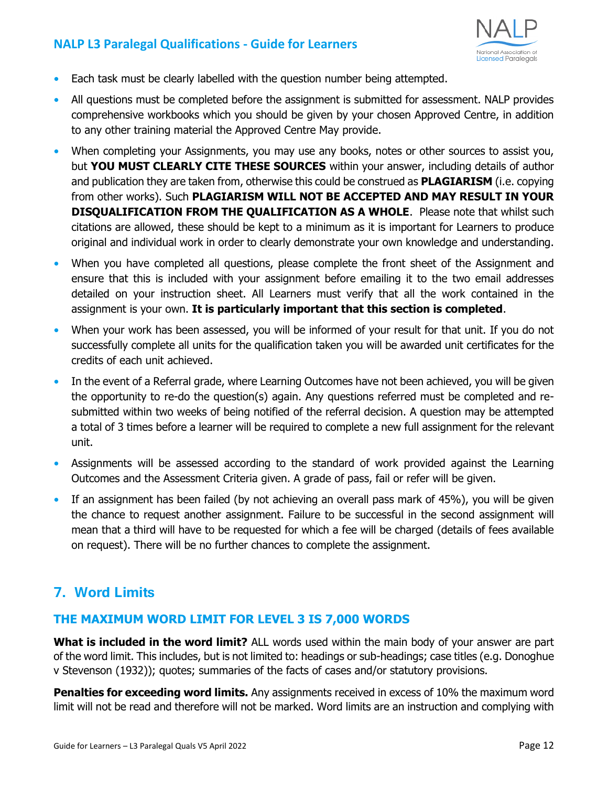

- **•** Each task must be clearly labelled with the question number being attempted.
- All questions must be completed before the assignment is submitted for assessment. NALP provides comprehensive workbooks which you should be given by your chosen Approved Centre, in addition to any other training material the Approved Centre May provide.
- **•** When completing your Assignments, you may use any books, notes or other sources to assist you, but **YOU MUST CLEARLY CITE THESE SOURCES** within your answer, including details of author and publication they are taken from, otherwise this could be construed as **PLAGIARISM** (i.e. copying from other works). Such **PLAGIARISM WILL NOT BE ACCEPTED AND MAY RESULT IN YOUR DISQUALIFICATION FROM THE QUALIFICATION AS A WHOLE**. Please note that whilst such citations are allowed, these should be kept to a minimum as it is important for Learners to produce original and individual work in order to clearly demonstrate your own knowledge and understanding.
- **•** When you have completed all questions, please complete the front sheet of the Assignment and ensure that this is included with your assignment before emailing it to the two email addresses detailed on your instruction sheet. All Learners must verify that all the work contained in the assignment is your own. **It is particularly important that this section is completed**.
- **•** When your work has been assessed, you will be informed of your result for that unit. If you do not successfully complete all units for the qualification taken you will be awarded unit certificates for the credits of each unit achieved.
- **•** In the event of a Referral grade, where Learning Outcomes have not been achieved, you will be given the opportunity to re-do the question(s) again. Any questions referred must be completed and resubmitted within two weeks of being notified of the referral decision. A question may be attempted a total of 3 times before a learner will be required to complete a new full assignment for the relevant unit.
- Assignments will be assessed according to the standard of work provided against the Learning Outcomes and the Assessment Criteria given. A grade of pass, fail or refer will be given.
- **•** If an assignment has been failed (by not achieving an overall pass mark of 45%), you will be given the chance to request another assignment. Failure to be successful in the second assignment will mean that a third will have to be requested for which a fee will be charged (details of fees available on request). There will be no further chances to complete the assignment.

## <span id="page-11-0"></span>**7. Word Limits**

#### **THE MAXIMUM WORD LIMIT FOR LEVEL 3 IS 7,000 WORDS**

**What is included in the word limit?** ALL words used within the main body of your answer are part of the word limit. This includes, but is not limited to: headings or sub-headings; case titles (e.g. Donoghue v Stevenson (1932)); quotes; summaries of the facts of cases and/or statutory provisions.

**Penalties for exceeding word limits.** Any assignments received in excess of 10% the maximum word limit will not be read and therefore will not be marked. Word limits are an instruction and complying with